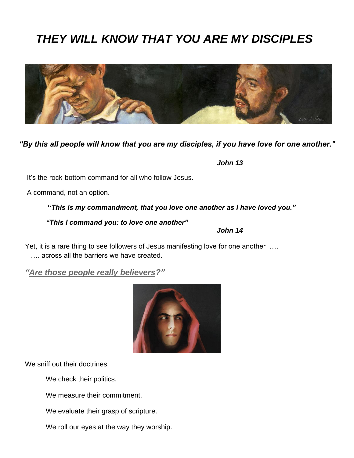# *THEY WILL KNOW THAT YOU ARE MY DISCIPLES*



#### *"By this all people will know that you are my disciples, if you have love for one another."*

 *John 13*

*John 14*

It's the rock-bottom command for all who follow Jesus.

A command, not an option.

**"***This is my commandment, that you love one another as I have loved you."*

*"This I command you: to love one another"*

Yet, it is a rare thing to see followers of Jesus manifesting love for one another …. …. across all the barriers we have created.

*"Are those people really believers?"* 



We sniff out their doctrines.

We check their politics.

We measure their commitment.

We evaluate their grasp of scripture.

We roll our eyes at the way they worship.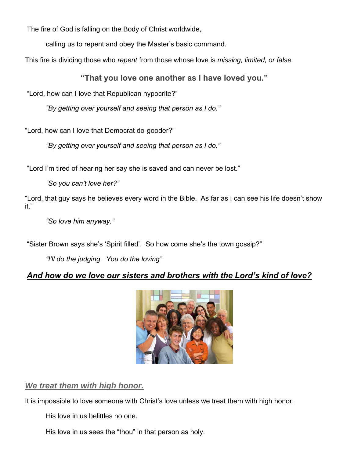The fire of God is falling on the Body of Christ worldwide,

calling us to repent and obey the Master's basic command.

This fire is dividing those who *repent* from those whose love is *missing, limited, or false.*

**"That you love one another as I have loved you."**

"Lord, how can I love that Republican hypocrite?"

*"By getting over yourself and seeing that person as I do."*

"Lord, how can I love that Democrat do-gooder?"

*"By getting over yourself and seeing that person as I do."*

"Lord I'm tired of hearing her say she is saved and can never be lost."

*"So you can't love her?"*

"Lord, that guy says he believes every word in the Bible. As far as I can see his life doesn't show it."

*"So love him anyway."*

"Sister Brown says she's 'Spirit filled'. So how come she's the town gossip?"

*"I'll do the judging. You do the loving"*

## *And how do we love our sisters and brothers with the Lord's kind of love?*



## *We treat them with high honor.*

It is impossible to love someone with Christ's love unless we treat them with high honor.

His love in us belittles no one.

His love in us sees the "thou" in that person as holy.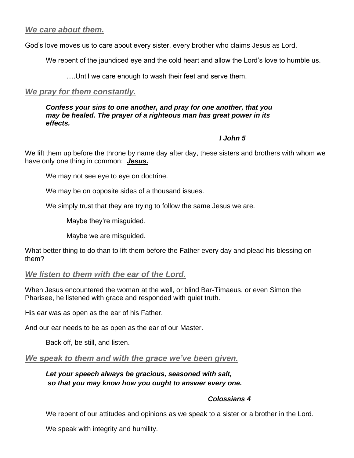### *We care about them.*

God's love moves us to care about every sister, every brother who claims Jesus as Lord.

We repent of the jaundiced eye and the cold heart and allow the Lord's love to humble us.

….Until we care enough to wash their feet and serve them.

#### *We pray for them constantly.*

*Confess your sins to one another, and pray for one another, that you may be healed. The prayer of a righteous man has great power in its effects.*

#### *I John 5*

We lift them up before the throne by name day after day, these sisters and brothers with whom we have only one thing in common: *Jesus.*

We may not see eye to eye on doctrine.

We may be on opposite sides of a thousand issues.

We simply trust that they are trying to follow the same Jesus we are.

Maybe they're misguided.

Maybe we are misguided.

What better thing to do than to lift them before the Father every day and plead his blessing on them?

#### *We listen to them with the ear of the Lord.*

When Jesus encountered the woman at the well, or blind Bar-Timaeus, or even Simon the Pharisee, he listened with grace and responded with quiet truth.

His ear was as open as the ear of his Father.

And our ear needs to be as open as the ear of our Master.

Back off, be still, and listen.

*We speak to them and with the grace we've been given.*

#### *Let your speech always be gracious, seasoned with salt, so that you may know how you ought to answer every one.*

#### *Colossians 4*

We repent of our attitudes and opinions as we speak to a sister or a brother in the Lord.

We speak with integrity and humility.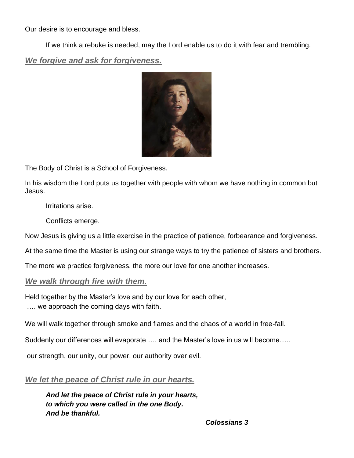Our desire is to encourage and bless.

If we think a rebuke is needed, may the Lord enable us to do it with fear and trembling.

*We forgive and ask for forgiveness.*



The Body of Christ is a School of Forgiveness.

In his wisdom the Lord puts us together with people with whom we have nothing in common but Jesus.

Irritations arise.

Conflicts emerge.

Now Jesus is giving us a little exercise in the practice of patience, forbearance and forgiveness.

At the same time the Master is using our strange ways to try the patience of sisters and brothers.

The more we practice forgiveness, the more our love for one another increases.

## *We walk through fire with them.*

Held together by the Master's love and by our love for each other,

…. we approach the coming days with faith.

We will walk together through smoke and flames and the chaos of a world in free-fall.

Suddenly our differences will evaporate …. and the Master's love in us will become…..

our strength, our unity, our power, our authority over evil.

*We let the peace of Christ rule in our hearts.*

*And let the peace of Christ rule in your hearts, to which you were called in the one Body. And be thankful.*